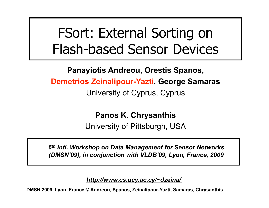## FSort: External Sorting on Flash-based Sensor Devices

**Panayiotis Andreou, Orestis Spanos,** 

**Demetrios Zeinalipour-Yazti, George Samaras** 

University of Cyprus, Cyprus

**Panos K. Chrysanthis**

University of Pittsburgh, USA

*6th Intl. Workshop on Data Management for Sensor Networks (DMSN'09), in conjunction with VLDB'09, Lyon, France, 2009*

*http://www.cs.ucy.ac.cy/~dzeina/*

**DMSN'2009, Lyon, France © Andreou, Spanos, Zeinalipour-Yazti, Samaras, Chrysanthis**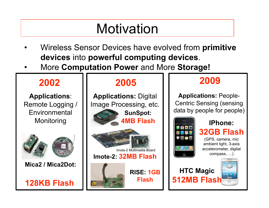## **Motivation**

- Wireless Sensor Devices have evolved from **primitive devices** into **powerful computing devices**.
- More **Computation Power** and More **Storage!**

#### **2002 2005 2009**

**Applications**: Remote Logging / Environmental Monitoring





**SunSpot: Applications:** Digital Image Processing, etc.

**4MB Flash**



**Imote-2: 32MB Flash** Imote-2 Multimedia Board

**RISE: 1GB** 

**Flash** 



**Applications:** People-Centric Sensing (sensing data by people for people)



**IPhone: 32GB Flash** (GPS, camera, mic ambient light, 3-axis accelerometer, digital

compass, …)

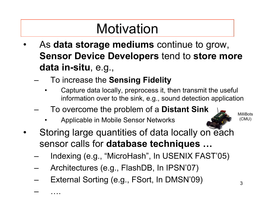## **Motivation**

- As **data storage mediums** continue to grow, **Sensor Device Developers** tend to **store more data in-situ**, e.g.,
	- To increase the **Sensing Fidelity** 
		- Capture data locally, preprocess it, then transmit the useful information over to the sink, e.g., sound detection application
	- To overcome the problem of a **Distant Sink**
		- Applicable in Mobile Sensor Networks
- Storing large quantities of data locally on each sensor calls for **database techniques …** 
	- Indexing (e.g., "MicroHash", In USENIX FAST'05)
	- Architectures (e.g., FlashDB, In IPSN'07)
	- External Sorting (e.g., FSort, In DMSN'09)

– ….

MilliBots (CMU)

3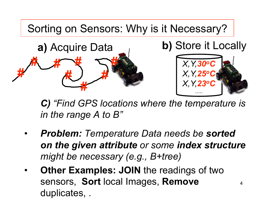Sorting on Sensors: Why is it Necessary?





*.....* 

4

*C) "Find GPS locations where the temperature is in the range A to B"* 

- *Problem: Temperature Data needs be sorted on the given attribute or some index structure might be necessary (e.g., B+tree)*
- **Other Examples: JOIN** the readings of two sensors, **Sort** local Images, **Remove**  duplicates, .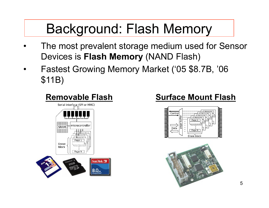## Background: Flash Memory

- The most prevalent storage medium used for Sensor Devices is **Flash Memory** (NAND Flash)
- Fastest Growing Memory Market ('05 \$8.7B, '06 \$11B)



#### **Removable Flash Surface Mount Flash**



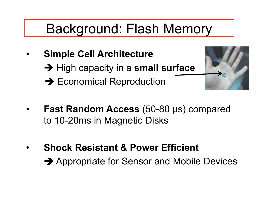#### Background: Flash Memory

- **Simple Cell Architecture** 
	- **→ High capacity in a small surface**
	- $\rightarrow$  Economical Reproduction



- **Fast Random Access (50-80 µs) compared** to 10-20ms in Magnetic Disks
- **Shock Resistant & Power Efficient → Appropriate for Sensor and Mobile Devices**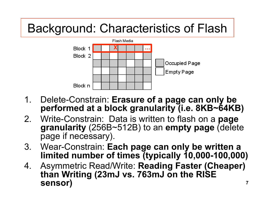#### Background: Characteristics of Flash



- 1. Delete-Constrain: **Erasure of a page can only be performed at a block granularity (i.e. 8KB~64KB)**
- 2. Write-Constrain: Data is written to flash on a **page granularity** (256B~512B) to an **empty page** (delete page if necessary).
- 3. Wear-Constrain: **Each page can only be written a limited number of times (typically 10,000-100,000)**
- **7**  4. Asymmetric Read/Write: **Reading Faster (Cheaper) than Writing (23mJ vs. 763mJ on the RISE sensor)**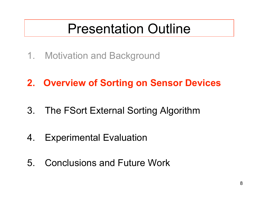#### Presentation Outline

- 1. Motivation and Background
- **2. Overview of Sorting on Sensor Devices**
- 3. The FSort External Sorting Algorithm
- 4. Experimental Evaluation
- 5. Conclusions and Future Work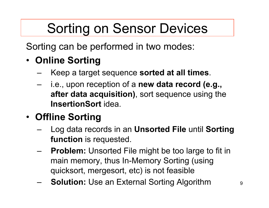## Sorting on Sensor Devices

Sorting can be performed in two modes:

#### • **Online Sorting**

- Keep a target sequence **sorted at all times**.
- i.e., upon reception of a **new data record (e.g., after data acquisition)**, sort sequence using the **InsertionSort** idea.

#### • **Offline Sorting**

- Log data records in an **Unsorted File** until **Sorting function** is requested.
- **Problem:** Unsorted File might be too large to fit in main memory, thus In-Memory Sorting (using quicksort, mergesort, etc) is not feasible
- **Solution:** Use an External Sorting Algorithm 9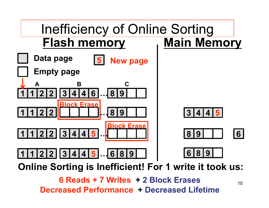

**Online Sorting is Inefficient! For 1 write it took us:** 

**6 Reads + 7 Writes + 2 Block Erases Decreased Performance + Decreased Lifetime**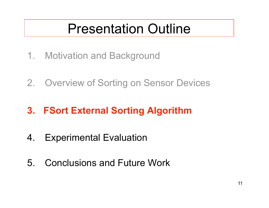#### Presentation Outline

- 1. Motivation and Background
- 2. Overview of Sorting on Sensor Devices

#### **3. FSort External Sorting Algorithm**

- 4. Experimental Evaluation
- 5. Conclusions and Future Work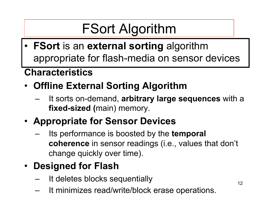## FSort Algorithm

• **FSort** is an **external sorting** algorithm appropriate for flash-media on sensor devices

#### **Characteristics**

- **Offline External Sorting Algorithm** 
	- It sorts on-demand, **arbitrary large sequences** with a **fixed-sized (**main) memory.
- **Appropriate for Sensor Devices** 
	- Its performance is boosted by the **temporal coherence** in sensor readings (i.e., values that don't change quickly over time).
- **Designed for Flash** 
	- It deletes blocks sequentially
	- It minimizes read/write/block erase operations.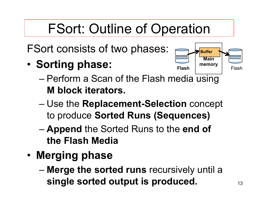## FSort: Outline of Operation

FSort consists of two phases:

• **Sorting phase:** 



- Perform a Scan of the Flash media using **M block iterators.**
- Use the **Replacement-Selection** concept to produce **Sorted Runs (Sequences)**
- **Append** the Sorted Runs to the **end of the Flash Media**
- **Merging phase**
	- **Merge the sorted runs** recursively until a **single sorted output is produced.**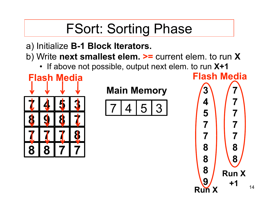## FSort: Sorting Phase

#### a) Initialize **B-1 Block Iterators.**

- b) Write **next smallest elem. >=** current elem. to run **X**
	- If above not possible, output next elem. to run **X+1**



#### **Main Memory**

$$
7|4|5|3
$$

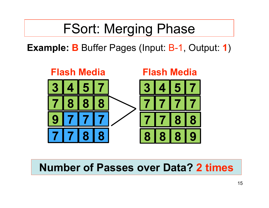#### FSort: Merging Phase

**Example: B** Buffer Pages (Input: B-1, Output: **1**)



#### **Number of Passes over Data? 2 times**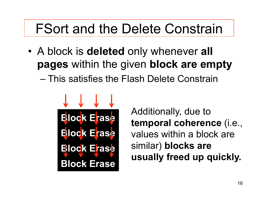### FSort and the Delete Constrain

- A block is **deleted** only whenever **all pages** within the given **block are empty** 
	- This satisfies the Flash Delete Constrain



Additionally, due to **temporal coherence** (i.e., values within a block are similar) **blocks are usually freed up quickly.**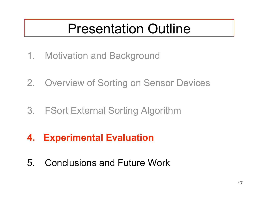#### Presentation Outline

- 1. Motivation and Background
- 2. Overview of Sorting on Sensor Devices
- 3. FSort External Sorting Algorithm
- **4. Experimental Evaluation**
- 5. Conclusions and Future Work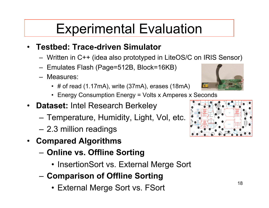## Experimental Evaluation

#### • **Testbed: Trace-driven Simulator**

- Written in C++ (idea also prototyped in LiteOS/C on IRIS Sensor)
- Emulates Flash (Page=512B, Block=16KB)
- Measures:
	- # of read (1.17mA), write (37mA), erases (18mA)
	- Energy Consumption Energy = Volts x Amperes x Seconds
- **Dataset:** Intel Research Berkeley
	- Temperature, Humidity, Light, Vol, etc.
	- 2.3 million readings
- **Compared Algorithms** 
	- **Online vs. Offline Sorting** 
		- InsertionSort vs. External Merge Sort
	- **Comparison of Offline Sorting** 
		- External Merge Sort vs. FSort



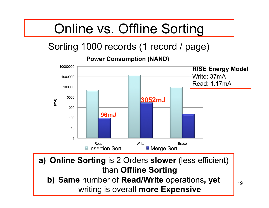## Online vs. Offline Sorting

#### Sorting 1000 records (1 record / page)

**Power Consumption (NAND)**



**a) Online Sorting** is 2 Orders **slower** (less efficient) than **Offline Sorting b) Same** number of **Read/Write** operations**, yet**  writing is overall **more Expensive**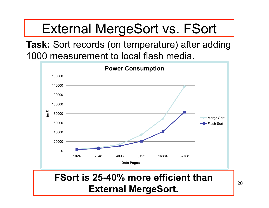## External MergeSort vs. FSort

**Task:** Sort records (on temperature) after adding 1000 measurement to local flash media.



20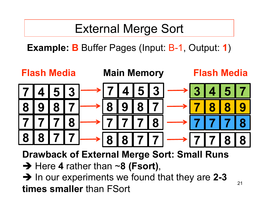#### External Merge Sort

**Example: B** Buffer Pages (Input: B-1, Output: **1**)



**Drawback of External Merge Sort: Small Runs** 

→ Here 4 rather than ~8 (Fsort),

→ In our experiments we found that they are 2-3 **times smaller** than FSort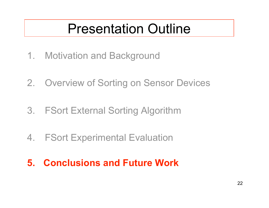#### Presentation Outline

- 1. Motivation and Background
- 2. Overview of Sorting on Sensor Devices
- 3. FSort External Sorting Algorithm
- 4. FSort Experimental Evaluation
- **5. Conclusions and Future Work**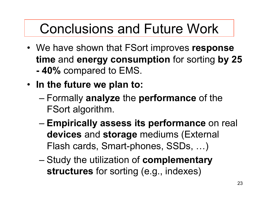## Conclusions and Future Work

- We have shown that FSort improves **response time** and **energy consumption** for sorting **by 25 - 40%** compared to EMS.
- **In the future we plan to:** 
	- Formally **analyze** the **performance** of the FSort algorithm.
	- **Empirically assess its performance** on real **devices** and **storage** mediums (External Flash cards, Smart-phones, SSDs, …)
	- Study the utilization of **complementary structures** for sorting (e.g., indexes)